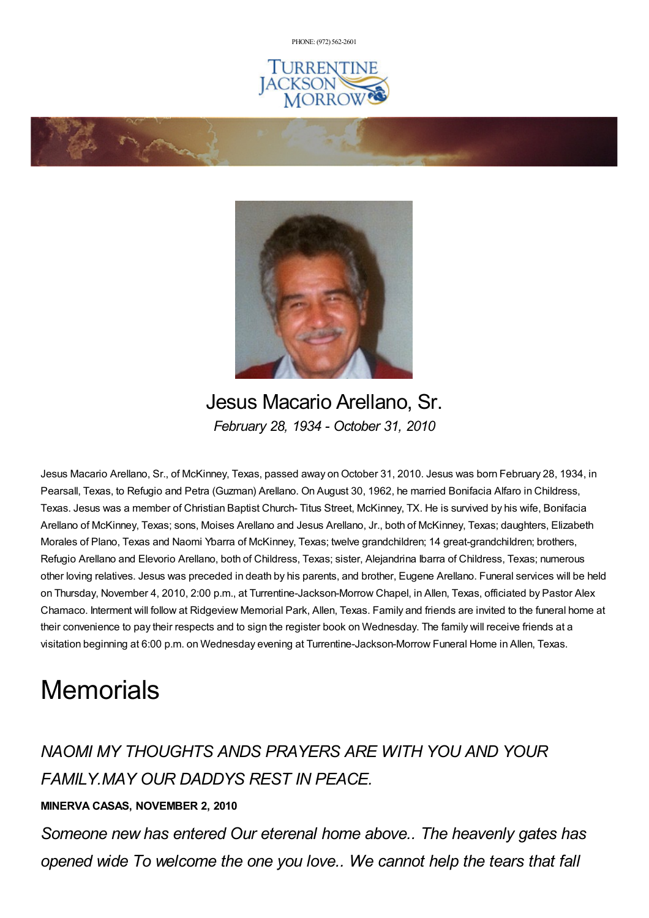PHONE: (972) [562-2601](tel:(972) 562-2601)





Jesus Macario Arellano, Sr. *February 28, 1934 - October 31, 2010*

Jesus Macario Arellano, Sr., of McKinney, Texas, passed away on October 31, 2010. Jesus was born February 28, 1934, in Pearsall, Texas, to Refugio and Petra (Guzman) Arellano. On August 30, 1962, he married Bonifacia Alfaro in Childress, Texas. Jesus was a member of Christian Baptist Church- Titus Street, McKinney, TX. He is survived by his wife, Bonifacia Arellano of McKinney, Texas; sons, Moises Arellano and Jesus Arellano, Jr., both of McKinney, Texas; daughters, Elizabeth Morales of Plano, Texas and Naomi Ybarra of McKinney, Texas; twelve grandchildren; 14 great-grandchildren; brothers, Refugio Arellano and Elevorio Arellano, both of Childress, Texas; sister, Alejandrina Ibarra of Childress, Texas; numerous other loving relatives. Jesus was preceded in death by his parents, and brother, Eugene Arellano. Funeral services will be held on Thursday, November 4, 2010, 2:00 p.m., at Turrentine-Jackson-Morrow Chapel, in Allen, Texas, officiated by Pastor Alex Chamaco. Interment will follow at Ridgeview Memorial Park, Allen, Texas. Family and friends are invited to the funeral home at their convenience to pay their respects and to sign the register book on Wednesday. The family will receive friends at a visitation beginning at 6:00 p.m. on Wednesday evening at Turrentine-Jackson-Morrow Funeral Home in Allen, Texas.

## **Memorials**

*NAOMI MY THOUGHTS ANDS PRAYERS ARE WITH YOU AND YOUR FAMILY.MAY OUR DADDYS REST IN PEACE.*

## **MINERVA CASAS, NOVEMBER 2, 2010**

*Someone new has entered Our eterenal home above.. The heavenly gates has opened wide To welcome the one you love.. We cannot help the tears that fall*